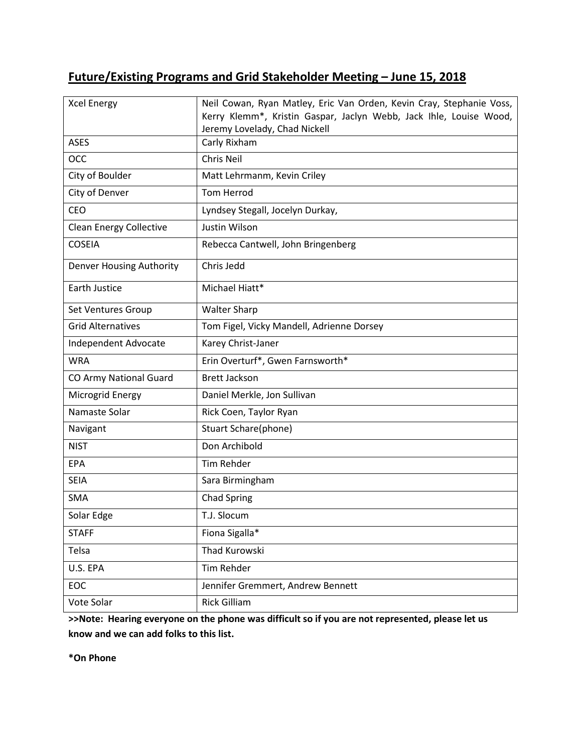# **Future/Existing Programs and Grid Stakeholder Meeting – June 15, 2018**

| <b>Xcel Energy</b>             | Neil Cowan, Ryan Matley, Eric Van Orden, Kevin Cray, Stephanie Voss,<br>Kerry Klemm*, Kristin Gaspar, Jaclyn Webb, Jack Ihle, Louise Wood,<br>Jeremy Lovelady, Chad Nickell |
|--------------------------------|-----------------------------------------------------------------------------------------------------------------------------------------------------------------------------|
| <b>ASES</b>                    | Carly Rixham                                                                                                                                                                |
| OCC                            | Chris Neil                                                                                                                                                                  |
| City of Boulder                | Matt Lehrmanm, Kevin Criley                                                                                                                                                 |
| City of Denver                 | <b>Tom Herrod</b>                                                                                                                                                           |
| CEO                            | Lyndsey Stegall, Jocelyn Durkay,                                                                                                                                            |
| <b>Clean Energy Collective</b> | Justin Wilson                                                                                                                                                               |
| <b>COSEIA</b>                  | Rebecca Cantwell, John Bringenberg                                                                                                                                          |
| Denver Housing Authority       | Chris Jedd                                                                                                                                                                  |
| Earth Justice                  | Michael Hiatt*                                                                                                                                                              |
| Set Ventures Group             | <b>Walter Sharp</b>                                                                                                                                                         |
| <b>Grid Alternatives</b>       | Tom Figel, Vicky Mandell, Adrienne Dorsey                                                                                                                                   |
| Independent Advocate           | Karey Christ-Janer                                                                                                                                                          |
| <b>WRA</b>                     | Erin Overturf*, Gwen Farnsworth*                                                                                                                                            |
| <b>CO Army National Guard</b>  | <b>Brett Jackson</b>                                                                                                                                                        |
| Microgrid Energy               | Daniel Merkle, Jon Sullivan                                                                                                                                                 |
| Namaste Solar                  | Rick Coen, Taylor Ryan                                                                                                                                                      |
| Navigant                       | Stuart Schare(phone)                                                                                                                                                        |
| <b>NIST</b>                    | Don Archibold                                                                                                                                                               |
| EPA                            | <b>Tim Rehder</b>                                                                                                                                                           |
| <b>SEIA</b>                    | Sara Birmingham                                                                                                                                                             |
| <b>SMA</b>                     | <b>Chad Spring</b>                                                                                                                                                          |
| Solar Edge                     | T.J. Slocum                                                                                                                                                                 |
| <b>STAFF</b>                   | Fiona Sigalla*                                                                                                                                                              |
| Telsa                          | Thad Kurowski                                                                                                                                                               |
| U.S. EPA                       | Tim Rehder                                                                                                                                                                  |
| EOC                            | Jennifer Gremmert, Andrew Bennett                                                                                                                                           |
| Vote Solar                     | <b>Rick Gilliam</b>                                                                                                                                                         |

**>>Note: Hearing everyone on the phone was difficult so if you are not represented, please let us know and we can add folks to this list.** 

**\*On Phone**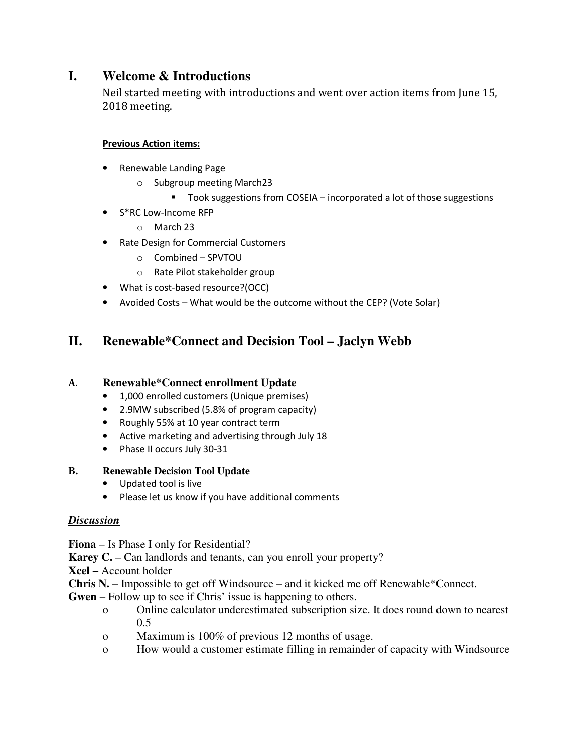## **I. Welcome & Introductions**

Neil started meeting with introductions and went over action items from June 15, 2018 meeting.

### **Previous Action items:**

- Renewable Landing Page
	- o Subgroup meeting March23
		- Took suggestions from COSEIA incorporated a lot of those suggestions
- S\*RC Low-Income RFP
	- o March 23
- Rate Design for Commercial Customers
	- o Combined SPVTOU
	- o Rate Pilot stakeholder group
- What is cost-based resource?(OCC)
- Avoided Costs What would be the outcome without the CEP? (Vote Solar)

## **II. Renewable\*Connect and Decision Tool – Jaclyn Webb**

### **A. Renewable\*Connect enrollment Update**

- 1,000 enrolled customers (Unique premises)
- 2.9MW subscribed (5.8% of program capacity)
- Roughly 55% at 10 year contract term
- Active marketing and advertising through July 18
- Phase II occurs July 30-31

### **B. Renewable Decision Tool Update**

- Updated tool is live
- Please let us know if you have additional comments

### *Discussion*

**Fiona** – Is Phase I only for Residential?

**Karey C.** – Can landlords and tenants, can you enroll your property?

**Xcel –** Account holder

**Chris N.** – Impossible to get off Windsource – and it kicked me off Renewable\*Connect.

- **Gwen** Follow up to see if Chris' issue is happening to others.
	- o Online calculator underestimated subscription size. It does round down to nearest 0.5
	- o Maximum is 100% of previous 12 months of usage.
	- o How would a customer estimate filling in remainder of capacity with Windsource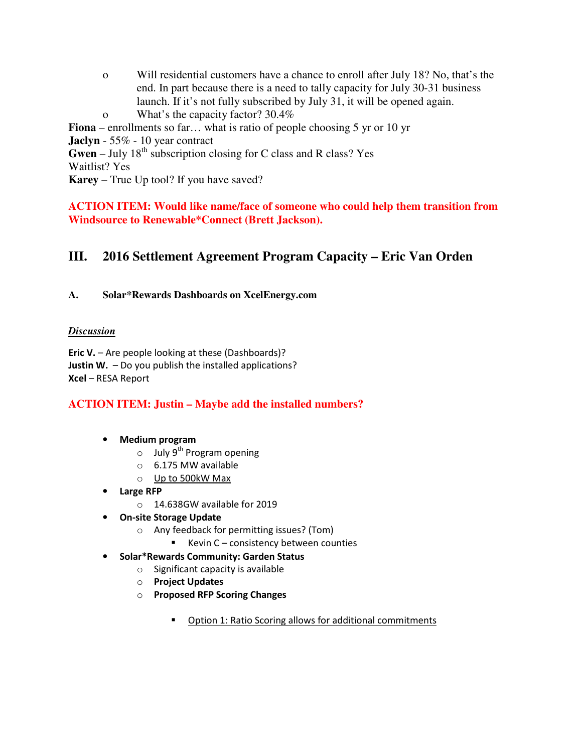| $\mathbf 0$                                                                           | Will residential customers have a chance to enroll after July 18? No, that's the |
|---------------------------------------------------------------------------------------|----------------------------------------------------------------------------------|
|                                                                                       | end. In part because there is a need to tally capacity for July 30-31 business   |
|                                                                                       | launch. If it's not fully subscribed by July 31, it will be opened again.        |
| $\Omega$                                                                              | What's the capacity factor? 30.4%                                                |
|                                                                                       | <b>Fiona</b> – enrollments so far what is ratio of people choosing 5 yr or 10 yr |
|                                                                                       | <b>Jaclyn</b> - $55\%$ - 10 year contract                                        |
| <b>Gwen</b> – July 18 <sup>th</sup> subscription closing for C class and R class? Yes |                                                                                  |
| <b>Waitlist? Yes</b>                                                                  |                                                                                  |
|                                                                                       | <b>Karey</b> – True Up tool? If you have saved?                                  |
|                                                                                       |                                                                                  |
|                                                                                       |                                                                                  |

**ACTION ITEM: Would like name/face of someone who could help them transition from Windsource to Renewable\*Connect (Brett Jackson).** 

### **III. 2016 Settlement Agreement Program Capacity – Eric Van Orden**

#### **A. Solar\*Rewards Dashboards on XcelEnergy.com**

#### *Discussion*

**Eric V.** – Are people looking at these (Dashboards)? **Justin W.** – Do you publish the installed applications? **Xcel** – RESA Report

### **ACTION ITEM: Justin – Maybe add the installed numbers?**

- **Medium program** 
	- $\circ$  July 9<sup>th</sup> Program opening
	- o 6.175 MW available
	- o Up to 500kW Max
- **Large RFP** 
	- o 14.638GW available for 2019
- **On-site Storage Update** 
	- o Any feedback for permitting issues? (Tom)
		- Kevin C consistency between counties
- **Solar\*Rewards Community: Garden Status** 
	- o Significant capacity is available
	- o **Project Updates**
	- o **Proposed RFP Scoring Changes** 
		- **Diam** Option 1: Ratio Scoring allows for additional commitments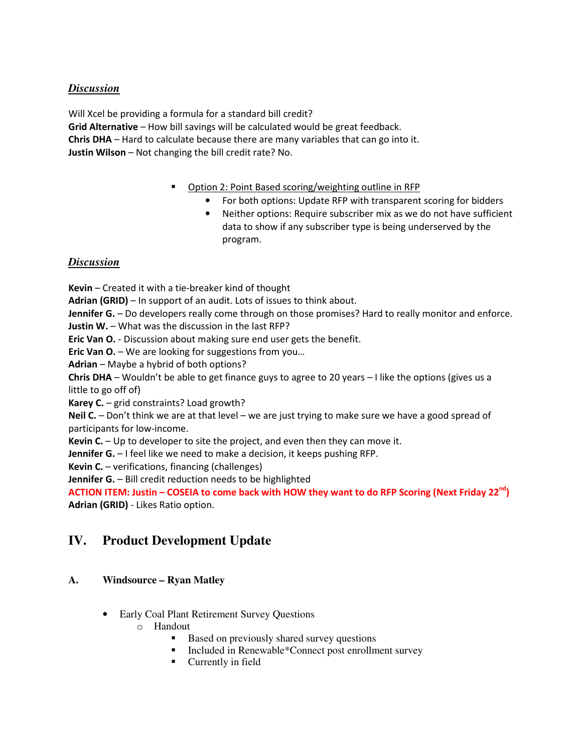Will Xcel be providing a formula for a standard bill credit? **Grid Alternative** – How bill savings will be calculated would be great feedback. **Chris DHA** – Hard to calculate because there are many variables that can go into it. **Justin Wilson** – Not changing the bill credit rate? No.

- Option 2: Point Based scoring/weighting outline in RFP
	- For both options: Update RFP with transparent scoring for bidders
	- Neither options: Require subscriber mix as we do not have sufficient data to show if any subscriber type is being underserved by the program.

### *Discussion*

**Kevin** – Created it with a tie-breaker kind of thought

**Adrian (GRID)** – In support of an audit. Lots of issues to think about.

**Jennifer G.** – Do developers really come through on those promises? Hard to really monitor and enforce.

**Justin W.** – What was the discussion in the last RFP?

**Eric Van O.** - Discussion about making sure end user gets the benefit.

**Eric Van O.** – We are looking for suggestions from you...

**Adrian** – Maybe a hybrid of both options?

**Chris DHA** – Wouldn't be able to get finance guys to agree to 20 years – I like the options (gives us a little to go off of)

**Karey C.** – grid constraints? Load growth?

**Neil C.** – Don't think we are at that level – we are just trying to make sure we have a good spread of participants for low-income.

**Kevin C.** – Up to developer to site the project, and even then they can move it.

**Jennifer G.** – I feel like we need to make a decision, it keeps pushing RFP.

**Kevin C.** – verifications, financing (challenges)

**Jennifer G.** – Bill credit reduction needs to be highlighted

**ACTION ITEM: Justin – COSEIA to come back with HOW they want to do RFP Scoring (Next Friday 22nd) Adrian (GRID)** - Likes Ratio option.

## **IV. Product Development Update**

### **A. Windsource – Ryan Matley**

- Early Coal Plant Retirement Survey Questions
	- o Handout
		- Based on previously shared survey questions
		- Included in Renewable\*Connect post enrollment survey
		- **Currently in field**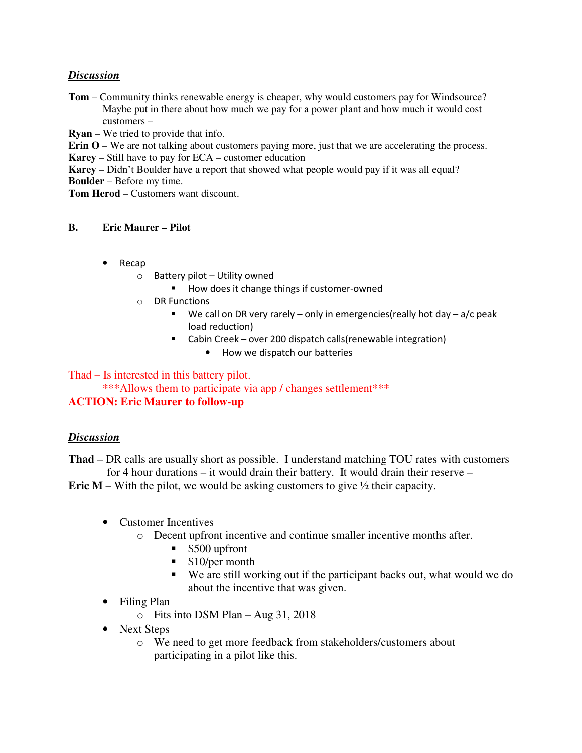**Tom** – Community thinks renewable energy is cheaper, why would customers pay for Windsource? Maybe put in there about how much we pay for a power plant and how much it would cost customers –

**Ryan** – We tried to provide that info.

**Erin O** – We are not talking about customers paying more, just that we are accelerating the process.

**Karey** – Still have to pay for ECA – customer education

**Karey** – Didn't Boulder have a report that showed what people would pay if it was all equal?

**Boulder** – Before my time.

**Tom Herod** – Customers want discount.

### **B. Eric Maurer – Pilot**

- Recap
	- $\circ$  Battery pilot Utility owned
		- How does it change things if customer-owned
	- o DR Functions
		- We call on DR very rarely only in emergencies (really hot day  $a/c$  peak load reduction)
		- Cabin Creek over 200 dispatch calls(renewable integration)
			- How we dispatch our batteries

### Thad – Is interested in this battery pilot.

# \*\*\*Allows them to participate via app / changes settlement\*\*\*

## **ACTION: Eric Maurer to follow-up**

### *Discussion*

**Thad** – DR calls are usually short as possible. I understand matching TOU rates with customers for 4 hour durations – it would drain their battery. It would drain their reserve –

**Eric M** – With the pilot, we would be asking customers to give  $\frac{1}{2}$  their capacity.

- Customer Incentives
	- o Decent upfront incentive and continue smaller incentive months after.
		- **S500** upfront
		- **S**10/per month
		- We are still working out if the participant backs out, what would we do about the incentive that was given.
- Filing Plan
	- o Fits into DSM Plan Aug 31, 2018
- Next Steps
	- o We need to get more feedback from stakeholders/customers about participating in a pilot like this.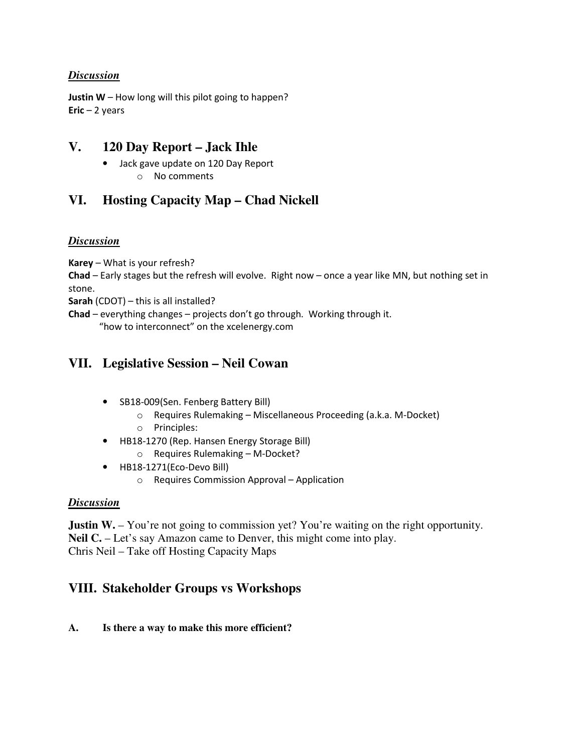**Justin W** – How long will this pilot going to happen? **Eric** – 2 years

## **V. 120 Day Report – Jack Ihle**

- Jack gave update on 120 Day Report
	- o No comments

# **VI. Hosting Capacity Map – Chad Nickell**

### *Discussion*

**Karey** – What is your refresh?

**Chad** – Early stages but the refresh will evolve. Right now – once a year like MN, but nothing set in stone.

**Sarah** (CDOT) – this is all installed?

**Chad** – everything changes – projects don't go through. Working through it. "how to interconnect" on the xcelenergy.com

## **VII. Legislative Session – Neil Cowan**

- SB18-009(Sen. Fenberg Battery Bill)
	- o Requires Rulemaking Miscellaneous Proceeding (a.k.a. M-Docket)
	- o Principles:
- HB18-1270 (Rep. Hansen Energy Storage Bill) o Requires Rulemaking – M-Docket?
- HB18-1271(Eco-Devo Bill)
	- o Requires Commission Approval Application

### *Discussion*

**Justin W.** – You're not going to commission yet? You're waiting on the right opportunity. **Neil C.** – Let's say Amazon came to Denver, this might come into play. Chris Neil – Take off Hosting Capacity Maps

# **VIII. Stakeholder Groups vs Workshops**

### **A. Is there a way to make this more efficient?**